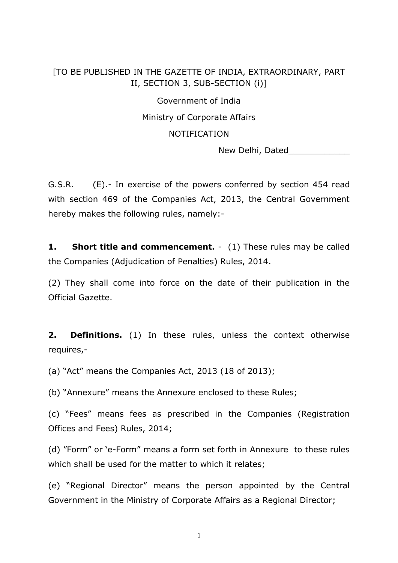## [TO BE PUBLISHED IN THE GAZETTE OF INDIA, EXTRAORDINARY, PART II, SECTION 3, SUB-SECTION (i)]

Government of India

Ministry of Corporate Affairs

## NOTIFICATION

New Delhi, Dated

G.S.R. (E).- In exercise of the powers conferred by section 454 read with section 469 of the Companies Act, 2013, the Central Government hereby makes the following rules, namely:-

**1. Short title and commencement.** - (1) These rules may be called the Companies (Adjudication of Penalties) Rules, 2014.

(2) They shall come into force on the date of their publication in the Official Gazette.

**2. Definitions.** (1) In these rules, unless the context otherwise requires,-

(a) "Act" means the Companies Act, 2013 (18 of 2013);

(b) "Annexure" means the Annexure enclosed to these Rules;

(c) "Fees" means fees as prescribed in the Companies (Registration Offices and Fees) Rules, 2014;

(d) "Form" or 'e-Form" means a form set forth in Annexure to these rules which shall be used for the matter to which it relates;

(e) "Regional Director" means the person appointed by the Central Government in the Ministry of Corporate Affairs as a Regional Director;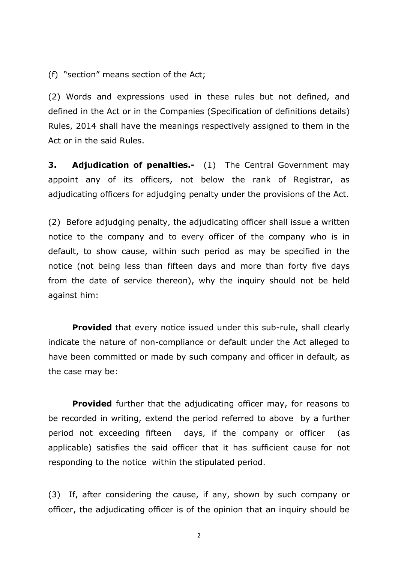(f) "section" means section of the Act;

(2) Words and expressions used in these rules but not defined, and defined in the Act or in the Companies (Specification of definitions details) Rules, 2014 shall have the meanings respectively assigned to them in the Act or in the said Rules.

**3. Adjudication of penalties.-** (1) The Central Government may appoint any of its officers, not below the rank of Registrar, as adjudicating officers for adjudging penalty under the provisions of the Act.

(2) Before adjudging penalty, the adjudicating officer shall issue a written notice to the company and to every officer of the company who is in default, to show cause, within such period as may be specified in the notice (not being less than fifteen days and more than forty five days from the date of service thereon), why the inquiry should not be held against him:

**Provided** that every notice issued under this sub-rule, shall clearly indicate the nature of non-compliance or default under the Act alleged to have been committed or made by such company and officer in default, as the case may be:

**Provided** further that the adjudicating officer may, for reasons to be recorded in writing, extend the period referred to above by a further period not exceeding fifteen days, if the company or officer (as applicable) satisfies the said officer that it has sufficient cause for not responding to the notice within the stipulated period.

(3) If, after considering the cause, if any, shown by such company or officer, the adjudicating officer is of the opinion that an inquiry should be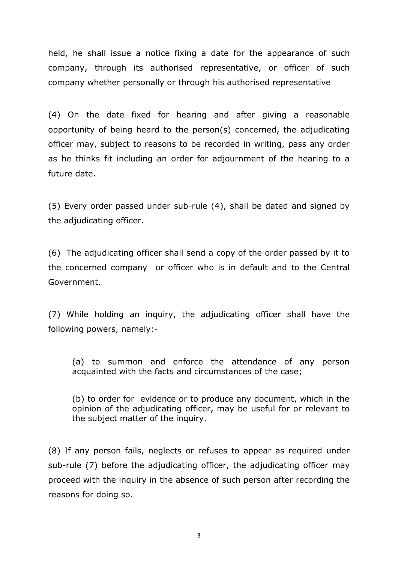held, he shall issue a notice fixing a date for the appearance of such company, through its authorised representative, or officer of such company whether personally or through his authorised representative

(4) On the date fixed for hearing and after giving a reasonable opportunity of being heard to the person(s) concerned, the adjudicating officer may, subject to reasons to be recorded in writing, pass any order as he thinks fit including an order for adjournment of the hearing to a future date.

(5) Every order passed under sub-rule (4), shall be dated and signed by the adjudicating officer.

(6) The adjudicating officer shall send a copy of the order passed by it to the concerned company or officer who is in default and to the Central Government.

(7) While holding an inquiry, the adjudicating officer shall have the following powers, namely:-

(a) to summon and enforce the attendance of any person acquainted with the facts and circumstances of the case;

(b) to order for evidence or to produce any document, which in the opinion of the adjudicating officer, may be useful for or relevant to the subject matter of the inquiry.

(8) If any person fails, neglects or refuses to appear as required under sub-rule (7) before the adjudicating officer, the adjudicating officer may proceed with the inquiry in the absence of such person after recording the reasons for doing so.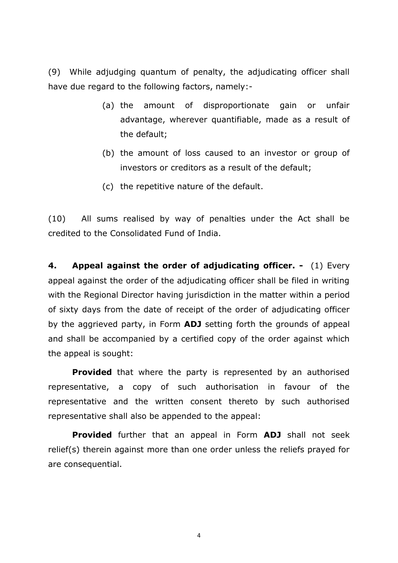(9) While adjudging quantum of penalty, the adjudicating officer shall have due regard to the following factors, namely:-

- (a) the amount of disproportionate gain or unfair advantage, wherever quantifiable, made as a result of the default;
- (b) the amount of loss caused to an investor or group of investors or creditors as a result of the default;
- (c) the repetitive nature of the default.

(10) All sums realised by way of penalties under the Act shall be credited to the Consolidated Fund of India.

**4. Appeal against the order of adjudicating officer. -** (1) Every appeal against the order of the adjudicating officer shall be filed in writing with the Regional Director having jurisdiction in the matter within a period of sixty days from the date of receipt of the order of adjudicating officer by the aggrieved party, in Form **ADJ** setting forth the grounds of appeal and shall be accompanied by a certified copy of the order against which the appeal is sought:

**Provided** that where the party is represented by an authorised representative, a copy of such authorisation in favour of the representative and the written consent thereto by such authorised representative shall also be appended to the appeal:

**Provided** further that an appeal in Form **ADJ** shall not seek relief(s) therein against more than one order unless the reliefs prayed for are consequential.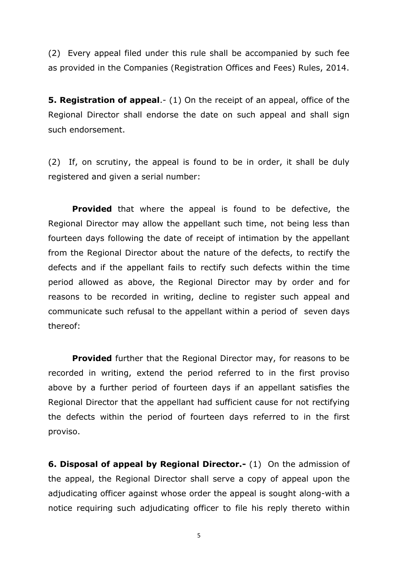(2) Every appeal filed under this rule shall be accompanied by such fee as provided in the Companies (Registration Offices and Fees) Rules, 2014.

**5. Registration of appeal**.- (1) On the receipt of an appeal, office of the Regional Director shall endorse the date on such appeal and shall sign such endorsement.

(2) If, on scrutiny, the appeal is found to be in order, it shall be duly registered and given a serial number:

 **Provided** that where the appeal is found to be defective, the Regional Director may allow the appellant such time, not being less than fourteen days following the date of receipt of intimation by the appellant from the Regional Director about the nature of the defects, to rectify the defects and if the appellant fails to rectify such defects within the time period allowed as above, the Regional Director may by order and for reasons to be recorded in writing, decline to register such appeal and communicate such refusal to the appellant within a period of seven days thereof:

**Provided** further that the Regional Director may, for reasons to be recorded in writing, extend the period referred to in the first proviso above by a further period of fourteen days if an appellant satisfies the Regional Director that the appellant had sufficient cause for not rectifying the defects within the period of fourteen days referred to in the first proviso.

**6. Disposal of appeal by Regional Director.-** (1) On the admission of the appeal, the Regional Director shall serve a copy of appeal upon the adjudicating officer against whose order the appeal is sought along-with a notice requiring such adjudicating officer to file his reply thereto within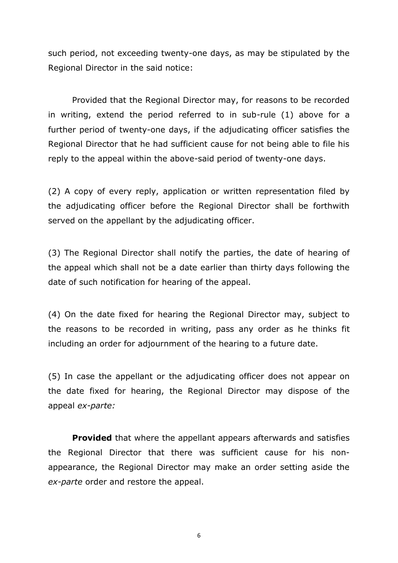such period, not exceeding twenty-one days, as may be stipulated by the Regional Director in the said notice:

Provided that the Regional Director may, for reasons to be recorded in writing, extend the period referred to in sub-rule (1) above for a further period of twenty-one days, if the adjudicating officer satisfies the Regional Director that he had sufficient cause for not being able to file his reply to the appeal within the above-said period of twenty-one days.

(2) A copy of every reply, application or written representation filed by the adjudicating officer before the Regional Director shall be forthwith served on the appellant by the adjudicating officer.

(3) The Regional Director shall notify the parties, the date of hearing of the appeal which shall not be a date earlier than thirty days following the date of such notification for hearing of the appeal.

(4) On the date fixed for hearing the Regional Director may, subject to the reasons to be recorded in writing, pass any order as he thinks fit including an order for adjournment of the hearing to a future date.

(5) In case the appellant or the adjudicating officer does not appear on the date fixed for hearing, the Regional Director may dispose of the appeal *ex-parte:*

**Provided** that where the appellant appears afterwards and satisfies the Regional Director that there was sufficient cause for his nonappearance, the Regional Director may make an order setting aside the *ex-parte* order and restore the appeal.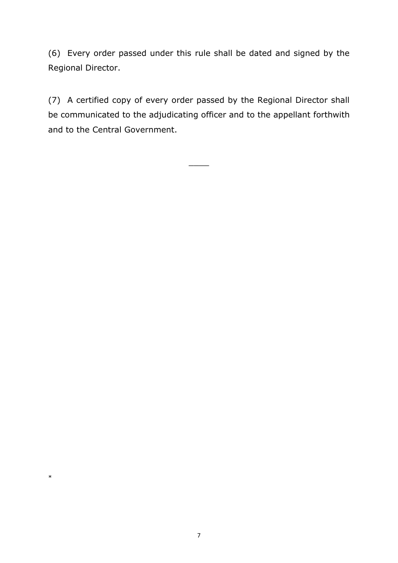(6) Every order passed under this rule shall be dated and signed by the Regional Director.

(7) A certified copy of every order passed by the Regional Director shall be communicated to the adjudicating officer and to the appellant forthwith and to the Central Government.

 $\overline{\phantom{a}}$ 

\*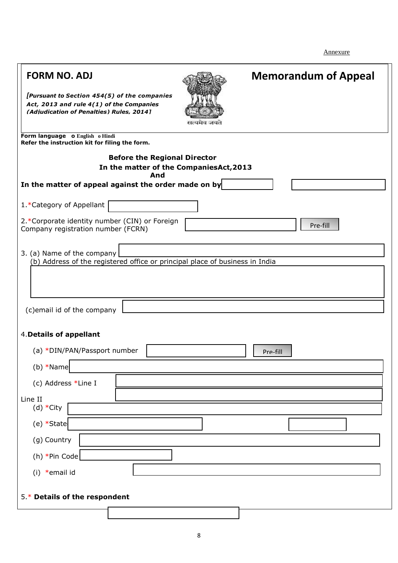Annexure

| <b>FORM NO. ADJ</b><br>[Pursuant to Section 454(5) of the companies<br>Act, 2013 and rule 4(1) of the Companies<br>(Adiudication of Penalties) Rules, 20141 |  | <b>Memorandum of Appeal</b> |  |  |  |
|-------------------------------------------------------------------------------------------------------------------------------------------------------------|--|-----------------------------|--|--|--|
| Form language o English o Hindi<br>Refer the instruction kit for filing the form.                                                                           |  |                             |  |  |  |
| <b>Before the Regional Director</b><br>In the matter of the CompaniesAct, 2013<br>And                                                                       |  |                             |  |  |  |
| In the matter of appeal against the order made on by                                                                                                        |  |                             |  |  |  |
| 1.*Category of Appellant                                                                                                                                    |  |                             |  |  |  |
| 2.*Corporate identity number (CIN) or Foreign<br>Company registration number (FCRN)                                                                         |  | Pre-fill                    |  |  |  |
| 3. (a) Name of the company<br>(b) Address of the registered office or principal place of business in India                                                  |  |                             |  |  |  |
| (c)email id of the company                                                                                                                                  |  |                             |  |  |  |
| 4. Details of appellant                                                                                                                                     |  |                             |  |  |  |
| (a) *DIN/PAN/Passport number                                                                                                                                |  | Pre-fill                    |  |  |  |
| $(b) * Name$                                                                                                                                                |  |                             |  |  |  |
| (c) Address *Line I                                                                                                                                         |  |                             |  |  |  |
| Line II<br>(d) *City                                                                                                                                        |  |                             |  |  |  |
| (e) *State                                                                                                                                                  |  |                             |  |  |  |
| (g) Country                                                                                                                                                 |  |                             |  |  |  |
| (h) *Pin Code                                                                                                                                               |  |                             |  |  |  |
| (i) *email id                                                                                                                                               |  |                             |  |  |  |
| 5.* Details of the respondent                                                                                                                               |  |                             |  |  |  |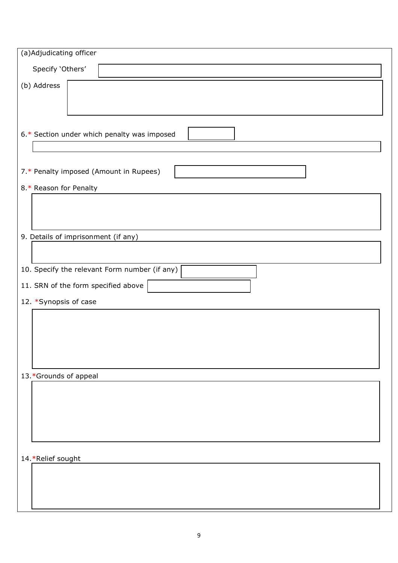| (a)Adjudicating officer                       |  |  |  |  |  |
|-----------------------------------------------|--|--|--|--|--|
| Specify 'Others'                              |  |  |  |  |  |
| (b) Address                                   |  |  |  |  |  |
|                                               |  |  |  |  |  |
|                                               |  |  |  |  |  |
| 6.* Section under which penalty was imposed   |  |  |  |  |  |
|                                               |  |  |  |  |  |
| 7.* Penalty imposed (Amount in Rupees)        |  |  |  |  |  |
| 8.* Reason for Penalty                        |  |  |  |  |  |
|                                               |  |  |  |  |  |
|                                               |  |  |  |  |  |
| 9. Details of imprisonment (if any)           |  |  |  |  |  |
|                                               |  |  |  |  |  |
| 10. Specify the relevant Form number (if any) |  |  |  |  |  |
| 11. SRN of the form specified above           |  |  |  |  |  |
| 12. *Synopsis of case                         |  |  |  |  |  |
|                                               |  |  |  |  |  |
|                                               |  |  |  |  |  |
|                                               |  |  |  |  |  |
| 13.*Grounds of appeal                         |  |  |  |  |  |
|                                               |  |  |  |  |  |
|                                               |  |  |  |  |  |
|                                               |  |  |  |  |  |
|                                               |  |  |  |  |  |
| 14.*Relief sought                             |  |  |  |  |  |
|                                               |  |  |  |  |  |
|                                               |  |  |  |  |  |
|                                               |  |  |  |  |  |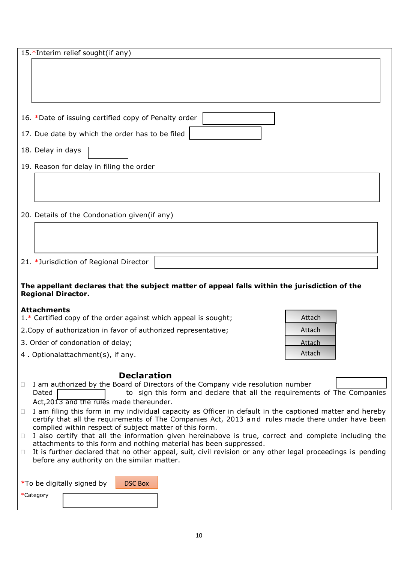|                            | 15.*Interim relief sought(if any)                               |                                                                                                             |        |
|----------------------------|-----------------------------------------------------------------|-------------------------------------------------------------------------------------------------------------|--------|
|                            |                                                                 |                                                                                                             |        |
|                            |                                                                 |                                                                                                             |        |
|                            |                                                                 |                                                                                                             |        |
|                            |                                                                 |                                                                                                             |        |
|                            | 16. *Date of issuing certified copy of Penalty order            |                                                                                                             |        |
|                            | 17. Due date by which the order has to be filed                 |                                                                                                             |        |
| 18. Delay in days          |                                                                 |                                                                                                             |        |
|                            | 19. Reason for delay in filing the order                        |                                                                                                             |        |
|                            |                                                                 |                                                                                                             |        |
|                            |                                                                 |                                                                                                             |        |
|                            |                                                                 |                                                                                                             |        |
|                            | 20. Details of the Condonation given (if any)                   |                                                                                                             |        |
|                            |                                                                 |                                                                                                             |        |
|                            |                                                                 |                                                                                                             |        |
|                            | 21. *Jurisdiction of Regional Director                          |                                                                                                             |        |
|                            |                                                                 |                                                                                                             |        |
| <b>Regional Director.</b>  |                                                                 | The appellant declares that the subject matter of appeal falls within the jurisdiction of the               |        |
| <b>Attachments</b>         | 1.* Certified copy of the order against which appeal is sought; |                                                                                                             | Attach |
|                            | 2. Copy of authorization in favor of authorized representative; |                                                                                                             | Attach |
|                            | 3. Order of condonation of delay;                               |                                                                                                             | Attach |
|                            | 4. Optionalattachment(s), if any.                               |                                                                                                             | Attach |
|                            |                                                                 |                                                                                                             |        |
|                            | <b>Declaration</b>                                              | I am authorized by the Board of Directors of the Company vide resolution number                             |        |
| Dated                      |                                                                 | to sign this form and declare that all the requirements of The Companies                                    |        |
| Ш                          | Act, 2013 and the rules made thereunder.                        | I am filing this form in my individual capacity as Officer in default in the captioned matter and hereby    |        |
|                            |                                                                 | certify that all the requirements of The Companies Act, 2013 and rules made there under have been           |        |
| 0                          | complied within respect of subject matter of this form.         | I also certify that all the information given hereinabove is true, correct and complete including the       |        |
|                            |                                                                 | attachments to this form and nothing material has been suppressed.                                          |        |
| $\Box$                     | before any authority on the similar matter.                     | It is further declared that no other appeal, suit, civil revision or any other legal proceedings is pending |        |
|                            |                                                                 |                                                                                                             |        |
| *To be digitally signed by | <b>DSC Box</b>                                                  |                                                                                                             |        |
| *Category                  |                                                                 |                                                                                                             |        |
|                            |                                                                 |                                                                                                             |        |